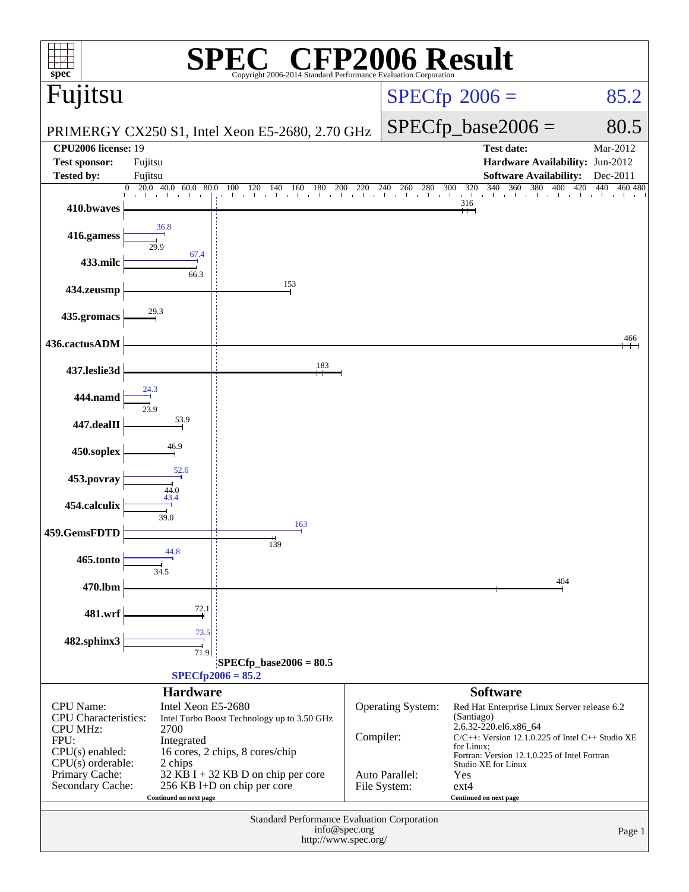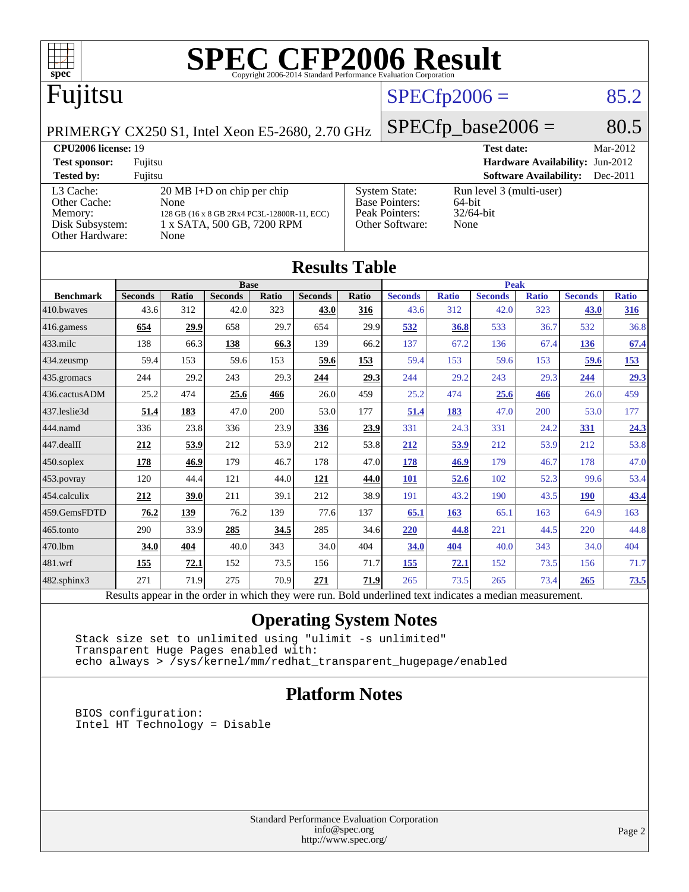

|                   |                                                                                                          |              | <b>Base</b>    |       |                |       |                |              | <b>Peak</b>    |              |                |              |
|-------------------|----------------------------------------------------------------------------------------------------------|--------------|----------------|-------|----------------|-------|----------------|--------------|----------------|--------------|----------------|--------------|
| <b>Benchmark</b>  | <b>Seconds</b>                                                                                           | <b>Ratio</b> | <b>Seconds</b> | Ratio | <b>Seconds</b> | Ratio | <b>Seconds</b> | <b>Ratio</b> | <b>Seconds</b> | <b>Ratio</b> | <b>Seconds</b> | <b>Ratio</b> |
| 410.bwayes        | 43.6                                                                                                     | 312          | 42.0           | 323   | 43.0           | 316   | 43.6           | 312          | 42.0           | 323          | 43.0           | 316          |
| 416.gamess        | 654                                                                                                      | 29.9         | 658            | 29.7  | 654            | 29.9  | 532            | 36.8         | 533            | 36.7         | 532            | 36.8         |
| $433$ .milc       | 138                                                                                                      | 66.3         | 138            | 66.3  | 139            | 66.2  | 137            | 67.2         | 136            | 67.4         | 136            | 67.4         |
| 434.zeusmp        | 59.4                                                                                                     | 153          | 59.6           | 153   | 59.6           | 153   | 59.4           | 153          | 59.6           | 153          | 59.6           | 153          |
| 435 gromacs       | 244                                                                                                      | 29.2         | 243            | 29.3  | 244            | 29.3  | 244            | 29.2         | 243            | 29.3         | 244            | 29.3         |
| 436.cactusADM     | 25.2                                                                                                     | 474          | 25.6           | 466   | 26.0           | 459   | 25.2           | 474          | 25.6           | 466          | 26.0           | 459          |
| 437.leslie3d      | 51.4                                                                                                     | 183          | 47.0           | 200   | 53.0           | 177   | 51.4           | 183          | 47.0           | 200          | 53.0           | 177          |
| 444.namd          | 336                                                                                                      | 23.8         | 336            | 23.9  | 336            | 23.9  | 331            | 24.3         | 331            | 24.2         | <u>331</u>     | 24.3         |
| 447.dealII        | 212                                                                                                      | 53.9         | 212            | 53.9  | 212            | 53.8  | 212            | 53.9         | 212            | 53.9         | 212            | 53.8         |
| $450$ .soplex     | 178                                                                                                      | 46.9         | 179            | 46.7  | 178            | 47.0  | 178            | 46.9         | 179            | 46.7         | 178            | 47.0         |
| 453.povray        | 120                                                                                                      | 44.4         | 121            | 44.0  | <u>121</u>     | 44.0  | <u>101</u>     | 52.6         | 102            | 52.3         | 99.6           | 53.4         |
| 454.calculix      | 212                                                                                                      | 39.0         | 211            | 39.1  | 212            | 38.9  | 191            | 43.2         | 190            | 43.5         | <b>190</b>     | 43.4         |
| 459.GemsFDTD      | 76.2                                                                                                     | 139          | 76.2           | 139   | 77.6           | 137   | 65.1           | 163          | 65.1           | 163          | 64.9           | 163          |
| 465.tonto         | 290                                                                                                      | 33.9         | 285            | 34.5  | 285            | 34.6  | 220            | 44.8         | 221            | 44.5         | 220            | 44.8         |
| 470.1bm           | 34.0                                                                                                     | 404          | 40.0           | 343   | 34.0           | 404   | 34.0           | 404          | 40.0           | 343          | 34.0           | 404          |
| 481.wrf           | 155                                                                                                      | 72.1         | 152            | 73.5  | 156            | 71.7  | 155            | 72.1         | 152            | 73.5         | 156            | 71.7         |
| $482$ .sphinx $3$ | 271                                                                                                      | 71.9         | 275            | 70.9  | 271            | 71.9  | 265            | 73.5         | 265            | 73.4         | 265            | 73.5         |
|                   | Results appear in the order in which they were run. Bold underlined text indicates a median measurement. |              |                |       |                |       |                |              |                |              |                |              |

### **[Operating System Notes](http://www.spec.org/auto/cpu2006/Docs/result-fields.html#OperatingSystemNotes)**

 Stack size set to unlimited using "ulimit -s unlimited" Transparent Huge Pages enabled with: echo always > /sys/kernel/mm/redhat\_transparent\_hugepage/enabled

### **[Platform Notes](http://www.spec.org/auto/cpu2006/Docs/result-fields.html#PlatformNotes)**

 BIOS configuration: Intel HT Technology = Disable

> Standard Performance Evaluation Corporation [info@spec.org](mailto:info@spec.org) <http://www.spec.org/>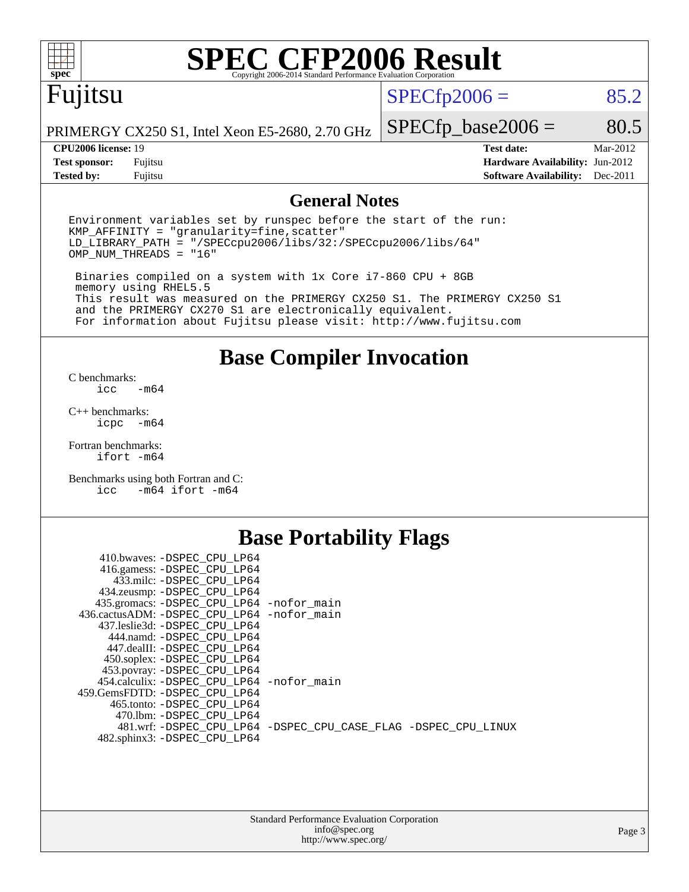

# **[SPEC CFP2006 Result](http://www.spec.org/auto/cpu2006/Docs/result-fields.html#SPECCFP2006Result)**

# Fujitsu

 $SPECTp2006 = 85.2$ 

PRIMERGY CX250 S1, Intel Xeon E5-2680, 2.70 GHz

**[Tested by:](http://www.spec.org/auto/cpu2006/Docs/result-fields.html#Testedby)** Fujitsu **[Software Availability:](http://www.spec.org/auto/cpu2006/Docs/result-fields.html#SoftwareAvailability)** Dec-2011

 $SPECfp\_base2006 = 80.5$ **[CPU2006 license:](http://www.spec.org/auto/cpu2006/Docs/result-fields.html#CPU2006license)** 19 **[Test date:](http://www.spec.org/auto/cpu2006/Docs/result-fields.html#Testdate)** Mar-2012 **[Test sponsor:](http://www.spec.org/auto/cpu2006/Docs/result-fields.html#Testsponsor)** Fujitsu **[Hardware Availability:](http://www.spec.org/auto/cpu2006/Docs/result-fields.html#HardwareAvailability)** Jun-2012

### **[General Notes](http://www.spec.org/auto/cpu2006/Docs/result-fields.html#GeneralNotes)**

Environment variables set by runspec before the start of the run:  $KMP$  AFFINITY = "granularity=fine, scatter" LD\_LIBRARY\_PATH = "/SPECcpu2006/libs/32:/SPECcpu2006/libs/64" OMP\_NUM\_THREADS = "16"

 Binaries compiled on a system with 1x Core i7-860 CPU + 8GB memory using RHEL5.5 This result was measured on the PRIMERGY CX250 S1. The PRIMERGY CX250 S1 and the PRIMERGY CX270 S1 are electronically equivalent. For information about Fujitsu please visit: <http://www.fujitsu.com>

**[Base Compiler Invocation](http://www.spec.org/auto/cpu2006/Docs/result-fields.html#BaseCompilerInvocation)**

[C benchmarks](http://www.spec.org/auto/cpu2006/Docs/result-fields.html#Cbenchmarks):  $-m64$ 

[C++ benchmarks:](http://www.spec.org/auto/cpu2006/Docs/result-fields.html#CXXbenchmarks) [icpc -m64](http://www.spec.org/cpu2006/results/res2012q3/cpu2006-20120605-22775.flags.html#user_CXXbase_intel_icpc_64bit_bedb90c1146cab66620883ef4f41a67e)

[Fortran benchmarks](http://www.spec.org/auto/cpu2006/Docs/result-fields.html#Fortranbenchmarks): [ifort -m64](http://www.spec.org/cpu2006/results/res2012q3/cpu2006-20120605-22775.flags.html#user_FCbase_intel_ifort_64bit_ee9d0fb25645d0210d97eb0527dcc06e)

[Benchmarks using both Fortran and C](http://www.spec.org/auto/cpu2006/Docs/result-fields.html#BenchmarksusingbothFortranandC): [icc -m64](http://www.spec.org/cpu2006/results/res2012q3/cpu2006-20120605-22775.flags.html#user_CC_FCbase_intel_icc_64bit_0b7121f5ab7cfabee23d88897260401c) [ifort -m64](http://www.spec.org/cpu2006/results/res2012q3/cpu2006-20120605-22775.flags.html#user_CC_FCbase_intel_ifort_64bit_ee9d0fb25645d0210d97eb0527dcc06e)

### **[Base Portability Flags](http://www.spec.org/auto/cpu2006/Docs/result-fields.html#BasePortabilityFlags)**

| 410.bwaves: -DSPEC CPU LP64<br>416.gamess: -DSPEC_CPU_LP64<br>433.milc: -DSPEC CPU LP64 |                                                                |
|-----------------------------------------------------------------------------------------|----------------------------------------------------------------|
| 434.zeusmp: -DSPEC_CPU_LP64                                                             |                                                                |
| 435.gromacs: -DSPEC_CPU_LP64 -nofor_main                                                |                                                                |
| 436.cactusADM: -DSPEC CPU LP64 -nofor main                                              |                                                                |
| 437.leslie3d: -DSPEC CPU LP64                                                           |                                                                |
| 444.namd: -DSPEC CPU LP64                                                               |                                                                |
| 447.dealII: -DSPEC CPU LP64                                                             |                                                                |
| 450.soplex: -DSPEC_CPU_LP64                                                             |                                                                |
| 453.povray: -DSPEC_CPU_LP64                                                             |                                                                |
| 454.calculix: - DSPEC CPU LP64 - nofor main                                             |                                                                |
| 459. GemsFDTD: - DSPEC CPU LP64                                                         |                                                                |
| 465.tonto: -DSPEC CPU LP64                                                              |                                                                |
| 470.1bm: - DSPEC CPU LP64                                                               |                                                                |
|                                                                                         | 481.wrf: -DSPEC CPU_LP64 -DSPEC_CPU_CASE_FLAG -DSPEC_CPU_LINUX |
| 482.sphinx3: -DSPEC_CPU_LP64                                                            |                                                                |
|                                                                                         |                                                                |

| <b>Standard Performance Evaluation Corporation</b> |
|----------------------------------------------------|
| info@spec.org                                      |
| http://www.spec.org/                               |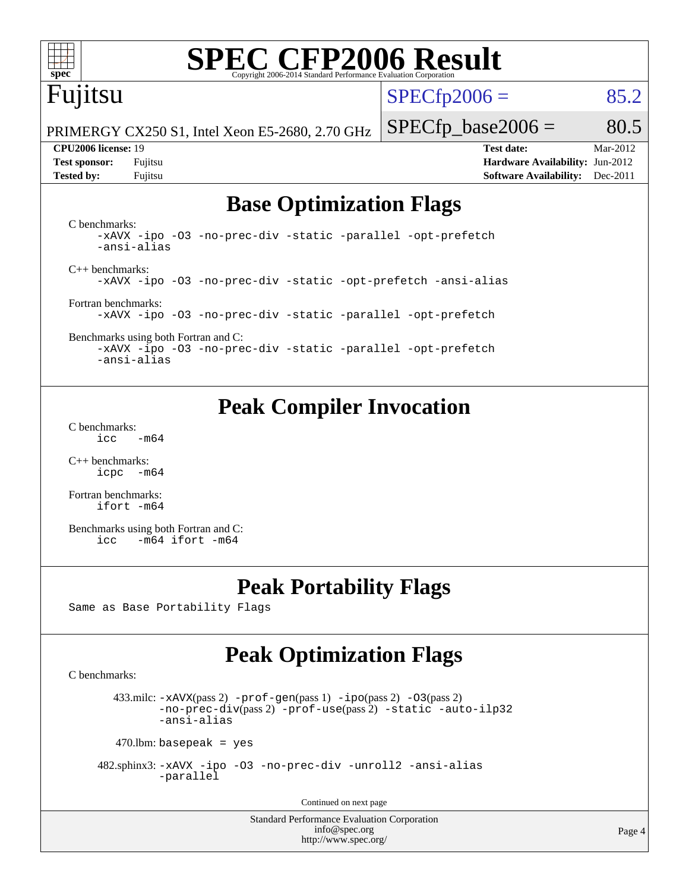

# **[SPEC CFP2006 Result](http://www.spec.org/auto/cpu2006/Docs/result-fields.html#SPECCFP2006Result)**

# Fujitsu

 $SPECTp2006 = 85.2$ 

PRIMERGY CX250 S1, Intel Xeon E5-2680, 2.70 GHz

 $SPECTp\_base2006 = 80.5$ **[CPU2006 license:](http://www.spec.org/auto/cpu2006/Docs/result-fields.html#CPU2006license)** 19 **[Test date:](http://www.spec.org/auto/cpu2006/Docs/result-fields.html#Testdate)** Mar-2012

**[Test sponsor:](http://www.spec.org/auto/cpu2006/Docs/result-fields.html#Testsponsor)** Fujitsu **[Hardware Availability:](http://www.spec.org/auto/cpu2006/Docs/result-fields.html#HardwareAvailability)** Jun-2012 **[Tested by:](http://www.spec.org/auto/cpu2006/Docs/result-fields.html#Testedby)** Fujitsu **[Software Availability:](http://www.spec.org/auto/cpu2006/Docs/result-fields.html#SoftwareAvailability)** Dec-2011

## **[Base Optimization Flags](http://www.spec.org/auto/cpu2006/Docs/result-fields.html#BaseOptimizationFlags)**

[C benchmarks](http://www.spec.org/auto/cpu2006/Docs/result-fields.html#Cbenchmarks): [-xAVX](http://www.spec.org/cpu2006/results/res2012q3/cpu2006-20120605-22775.flags.html#user_CCbase_f-xAVX) [-ipo](http://www.spec.org/cpu2006/results/res2012q3/cpu2006-20120605-22775.flags.html#user_CCbase_f-ipo) [-O3](http://www.spec.org/cpu2006/results/res2012q3/cpu2006-20120605-22775.flags.html#user_CCbase_f-O3) [-no-prec-div](http://www.spec.org/cpu2006/results/res2012q3/cpu2006-20120605-22775.flags.html#user_CCbase_f-no-prec-div) [-static](http://www.spec.org/cpu2006/results/res2012q3/cpu2006-20120605-22775.flags.html#user_CCbase_f-static) [-parallel](http://www.spec.org/cpu2006/results/res2012q3/cpu2006-20120605-22775.flags.html#user_CCbase_f-parallel) [-opt-prefetch](http://www.spec.org/cpu2006/results/res2012q3/cpu2006-20120605-22775.flags.html#user_CCbase_f-opt-prefetch) [-ansi-alias](http://www.spec.org/cpu2006/results/res2012q3/cpu2006-20120605-22775.flags.html#user_CCbase_f-ansi-alias) [C++ benchmarks:](http://www.spec.org/auto/cpu2006/Docs/result-fields.html#CXXbenchmarks) [-xAVX](http://www.spec.org/cpu2006/results/res2012q3/cpu2006-20120605-22775.flags.html#user_CXXbase_f-xAVX) [-ipo](http://www.spec.org/cpu2006/results/res2012q3/cpu2006-20120605-22775.flags.html#user_CXXbase_f-ipo) [-O3](http://www.spec.org/cpu2006/results/res2012q3/cpu2006-20120605-22775.flags.html#user_CXXbase_f-O3) [-no-prec-div](http://www.spec.org/cpu2006/results/res2012q3/cpu2006-20120605-22775.flags.html#user_CXXbase_f-no-prec-div) [-static](http://www.spec.org/cpu2006/results/res2012q3/cpu2006-20120605-22775.flags.html#user_CXXbase_f-static) [-opt-prefetch](http://www.spec.org/cpu2006/results/res2012q3/cpu2006-20120605-22775.flags.html#user_CXXbase_f-opt-prefetch) [-ansi-alias](http://www.spec.org/cpu2006/results/res2012q3/cpu2006-20120605-22775.flags.html#user_CXXbase_f-ansi-alias) [Fortran benchmarks](http://www.spec.org/auto/cpu2006/Docs/result-fields.html#Fortranbenchmarks): [-xAVX](http://www.spec.org/cpu2006/results/res2012q3/cpu2006-20120605-22775.flags.html#user_FCbase_f-xAVX) [-ipo](http://www.spec.org/cpu2006/results/res2012q3/cpu2006-20120605-22775.flags.html#user_FCbase_f-ipo) [-O3](http://www.spec.org/cpu2006/results/res2012q3/cpu2006-20120605-22775.flags.html#user_FCbase_f-O3) [-no-prec-div](http://www.spec.org/cpu2006/results/res2012q3/cpu2006-20120605-22775.flags.html#user_FCbase_f-no-prec-div) [-static](http://www.spec.org/cpu2006/results/res2012q3/cpu2006-20120605-22775.flags.html#user_FCbase_f-static) [-parallel](http://www.spec.org/cpu2006/results/res2012q3/cpu2006-20120605-22775.flags.html#user_FCbase_f-parallel) [-opt-prefetch](http://www.spec.org/cpu2006/results/res2012q3/cpu2006-20120605-22775.flags.html#user_FCbase_f-opt-prefetch)

[Benchmarks using both Fortran and C](http://www.spec.org/auto/cpu2006/Docs/result-fields.html#BenchmarksusingbothFortranandC): [-xAVX](http://www.spec.org/cpu2006/results/res2012q3/cpu2006-20120605-22775.flags.html#user_CC_FCbase_f-xAVX) [-ipo](http://www.spec.org/cpu2006/results/res2012q3/cpu2006-20120605-22775.flags.html#user_CC_FCbase_f-ipo) [-O3](http://www.spec.org/cpu2006/results/res2012q3/cpu2006-20120605-22775.flags.html#user_CC_FCbase_f-O3) [-no-prec-div](http://www.spec.org/cpu2006/results/res2012q3/cpu2006-20120605-22775.flags.html#user_CC_FCbase_f-no-prec-div) [-static](http://www.spec.org/cpu2006/results/res2012q3/cpu2006-20120605-22775.flags.html#user_CC_FCbase_f-static) [-parallel](http://www.spec.org/cpu2006/results/res2012q3/cpu2006-20120605-22775.flags.html#user_CC_FCbase_f-parallel) [-opt-prefetch](http://www.spec.org/cpu2006/results/res2012q3/cpu2006-20120605-22775.flags.html#user_CC_FCbase_f-opt-prefetch) [-ansi-alias](http://www.spec.org/cpu2006/results/res2012q3/cpu2006-20120605-22775.flags.html#user_CC_FCbase_f-ansi-alias)

## **[Peak Compiler Invocation](http://www.spec.org/auto/cpu2006/Docs/result-fields.html#PeakCompilerInvocation)**

[C benchmarks](http://www.spec.org/auto/cpu2006/Docs/result-fields.html#Cbenchmarks):  $\text{icc}$  -m64

[C++ benchmarks:](http://www.spec.org/auto/cpu2006/Docs/result-fields.html#CXXbenchmarks) [icpc -m64](http://www.spec.org/cpu2006/results/res2012q3/cpu2006-20120605-22775.flags.html#user_CXXpeak_intel_icpc_64bit_bedb90c1146cab66620883ef4f41a67e)

[Fortran benchmarks](http://www.spec.org/auto/cpu2006/Docs/result-fields.html#Fortranbenchmarks): [ifort -m64](http://www.spec.org/cpu2006/results/res2012q3/cpu2006-20120605-22775.flags.html#user_FCpeak_intel_ifort_64bit_ee9d0fb25645d0210d97eb0527dcc06e)

[Benchmarks using both Fortran and C](http://www.spec.org/auto/cpu2006/Docs/result-fields.html#BenchmarksusingbothFortranandC): [icc -m64](http://www.spec.org/cpu2006/results/res2012q3/cpu2006-20120605-22775.flags.html#user_CC_FCpeak_intel_icc_64bit_0b7121f5ab7cfabee23d88897260401c) [ifort -m64](http://www.spec.org/cpu2006/results/res2012q3/cpu2006-20120605-22775.flags.html#user_CC_FCpeak_intel_ifort_64bit_ee9d0fb25645d0210d97eb0527dcc06e)

### **[Peak Portability Flags](http://www.spec.org/auto/cpu2006/Docs/result-fields.html#PeakPortabilityFlags)**

Same as Base Portability Flags

## **[Peak Optimization Flags](http://www.spec.org/auto/cpu2006/Docs/result-fields.html#PeakOptimizationFlags)**

[C benchmarks](http://www.spec.org/auto/cpu2006/Docs/result-fields.html#Cbenchmarks):

433.milc:  $-x$ AVX(pass 2)  $-p$ rof-gen(pass 1)  $-p$ po(pass 2)  $-03$ (pass 2) [-no-prec-div](http://www.spec.org/cpu2006/results/res2012q3/cpu2006-20120605-22775.flags.html#user_peakPASS2_CFLAGSPASS2_LDFLAGS433_milc_f-no-prec-div)(pass 2) [-prof-use](http://www.spec.org/cpu2006/results/res2012q3/cpu2006-20120605-22775.flags.html#user_peakPASS2_CFLAGSPASS2_LDFLAGS433_milc_prof_use_bccf7792157ff70d64e32fe3e1250b55)(pass 2) [-static](http://www.spec.org/cpu2006/results/res2012q3/cpu2006-20120605-22775.flags.html#user_peakOPTIMIZE433_milc_f-static) [-auto-ilp32](http://www.spec.org/cpu2006/results/res2012q3/cpu2006-20120605-22775.flags.html#user_peakCOPTIMIZE433_milc_f-auto-ilp32) [-ansi-alias](http://www.spec.org/cpu2006/results/res2012q3/cpu2006-20120605-22775.flags.html#user_peakCOPTIMIZE433_milc_f-ansi-alias)

 $470$ .lbm: basepeak = yes

 482.sphinx3: [-xAVX](http://www.spec.org/cpu2006/results/res2012q3/cpu2006-20120605-22775.flags.html#user_peakOPTIMIZE482_sphinx3_f-xAVX) [-ipo](http://www.spec.org/cpu2006/results/res2012q3/cpu2006-20120605-22775.flags.html#user_peakOPTIMIZE482_sphinx3_f-ipo) [-O3](http://www.spec.org/cpu2006/results/res2012q3/cpu2006-20120605-22775.flags.html#user_peakOPTIMIZE482_sphinx3_f-O3) [-no-prec-div](http://www.spec.org/cpu2006/results/res2012q3/cpu2006-20120605-22775.flags.html#user_peakOPTIMIZE482_sphinx3_f-no-prec-div) [-unroll2](http://www.spec.org/cpu2006/results/res2012q3/cpu2006-20120605-22775.flags.html#user_peakCOPTIMIZE482_sphinx3_f-unroll_784dae83bebfb236979b41d2422d7ec2) [-ansi-alias](http://www.spec.org/cpu2006/results/res2012q3/cpu2006-20120605-22775.flags.html#user_peakCOPTIMIZE482_sphinx3_f-ansi-alias) [-parallel](http://www.spec.org/cpu2006/results/res2012q3/cpu2006-20120605-22775.flags.html#user_peakCOPTIMIZE482_sphinx3_f-parallel)

Continued on next page

Standard Performance Evaluation Corporation [info@spec.org](mailto:info@spec.org) <http://www.spec.org/>

Page 4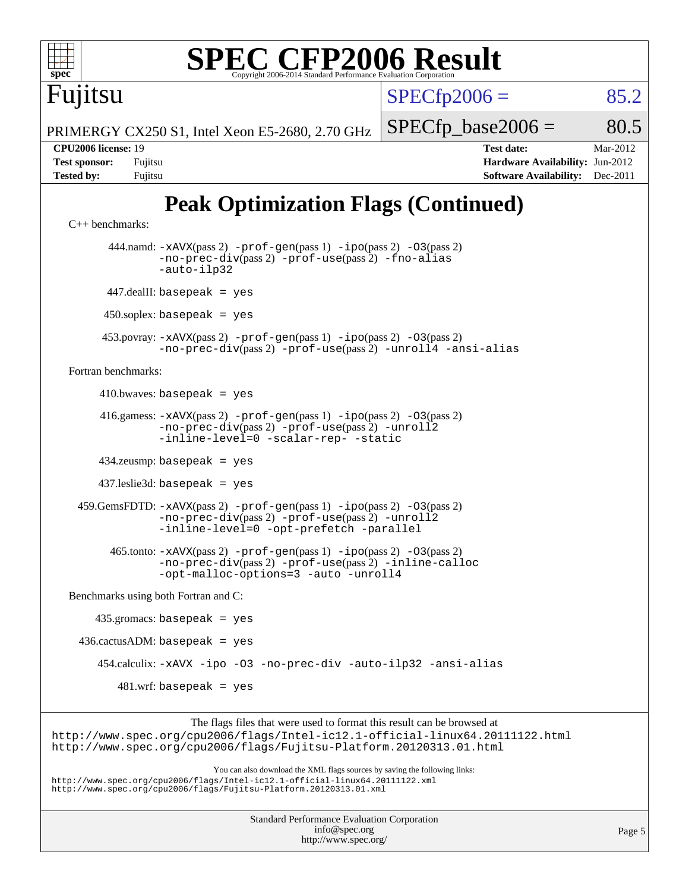

 416.gamess: [-xAVX](http://www.spec.org/cpu2006/results/res2012q3/cpu2006-20120605-22775.flags.html#user_peakPASS2_FFLAGSPASS2_LDFLAGS416_gamess_f-xAVX)(pass 2) [-prof-gen](http://www.spec.org/cpu2006/results/res2012q3/cpu2006-20120605-22775.flags.html#user_peakPASS1_FFLAGSPASS1_LDFLAGS416_gamess_prof_gen_e43856698f6ca7b7e442dfd80e94a8fc)(pass 1) [-ipo](http://www.spec.org/cpu2006/results/res2012q3/cpu2006-20120605-22775.flags.html#user_peakPASS2_FFLAGSPASS2_LDFLAGS416_gamess_f-ipo)(pass 2) [-O3](http://www.spec.org/cpu2006/results/res2012q3/cpu2006-20120605-22775.flags.html#user_peakPASS2_FFLAGSPASS2_LDFLAGS416_gamess_f-O3)(pass 2) [-no-prec-div](http://www.spec.org/cpu2006/results/res2012q3/cpu2006-20120605-22775.flags.html#user_peakPASS2_FFLAGSPASS2_LDFLAGS416_gamess_f-no-prec-div)(pass 2) [-prof-use](http://www.spec.org/cpu2006/results/res2012q3/cpu2006-20120605-22775.flags.html#user_peakPASS2_FFLAGSPASS2_LDFLAGS416_gamess_prof_use_bccf7792157ff70d64e32fe3e1250b55)(pass 2) [-unroll2](http://www.spec.org/cpu2006/results/res2012q3/cpu2006-20120605-22775.flags.html#user_peakOPTIMIZE416_gamess_f-unroll_784dae83bebfb236979b41d2422d7ec2) [-inline-level=0](http://www.spec.org/cpu2006/results/res2012q3/cpu2006-20120605-22775.flags.html#user_peakOPTIMIZE416_gamess_f-inline-level_318d07a09274ad25e8d15dbfaa68ba50) [-scalar-rep-](http://www.spec.org/cpu2006/results/res2012q3/cpu2006-20120605-22775.flags.html#user_peakOPTIMIZE416_gamess_f-disablescalarrep_abbcad04450fb118e4809c81d83c8a1d) [-static](http://www.spec.org/cpu2006/results/res2012q3/cpu2006-20120605-22775.flags.html#user_peakOPTIMIZE416_gamess_f-static)

434.zeusmp: basepeak = yes

437.leslie3d: basepeak = yes

 459.GemsFDTD: [-xAVX](http://www.spec.org/cpu2006/results/res2012q3/cpu2006-20120605-22775.flags.html#user_peakPASS2_FFLAGSPASS2_LDFLAGS459_GemsFDTD_f-xAVX)(pass 2) [-prof-gen](http://www.spec.org/cpu2006/results/res2012q3/cpu2006-20120605-22775.flags.html#user_peakPASS1_FFLAGSPASS1_LDFLAGS459_GemsFDTD_prof_gen_e43856698f6ca7b7e442dfd80e94a8fc)(pass 1) [-ipo](http://www.spec.org/cpu2006/results/res2012q3/cpu2006-20120605-22775.flags.html#user_peakPASS2_FFLAGSPASS2_LDFLAGS459_GemsFDTD_f-ipo)(pass 2) [-O3](http://www.spec.org/cpu2006/results/res2012q3/cpu2006-20120605-22775.flags.html#user_peakPASS2_FFLAGSPASS2_LDFLAGS459_GemsFDTD_f-O3)(pass 2) [-no-prec-div](http://www.spec.org/cpu2006/results/res2012q3/cpu2006-20120605-22775.flags.html#user_peakPASS2_FFLAGSPASS2_LDFLAGS459_GemsFDTD_f-no-prec-div)(pass 2) [-prof-use](http://www.spec.org/cpu2006/results/res2012q3/cpu2006-20120605-22775.flags.html#user_peakPASS2_FFLAGSPASS2_LDFLAGS459_GemsFDTD_prof_use_bccf7792157ff70d64e32fe3e1250b55)(pass 2) [-unroll2](http://www.spec.org/cpu2006/results/res2012q3/cpu2006-20120605-22775.flags.html#user_peakOPTIMIZE459_GemsFDTD_f-unroll_784dae83bebfb236979b41d2422d7ec2) [-inline-level=0](http://www.spec.org/cpu2006/results/res2012q3/cpu2006-20120605-22775.flags.html#user_peakOPTIMIZE459_GemsFDTD_f-inline-level_318d07a09274ad25e8d15dbfaa68ba50) [-opt-prefetch](http://www.spec.org/cpu2006/results/res2012q3/cpu2006-20120605-22775.flags.html#user_peakOPTIMIZE459_GemsFDTD_f-opt-prefetch) [-parallel](http://www.spec.org/cpu2006/results/res2012q3/cpu2006-20120605-22775.flags.html#user_peakOPTIMIZE459_GemsFDTD_f-parallel)

 465.tonto: [-xAVX](http://www.spec.org/cpu2006/results/res2012q3/cpu2006-20120605-22775.flags.html#user_peakPASS2_FFLAGSPASS2_LDFLAGS465_tonto_f-xAVX)(pass 2) [-prof-gen](http://www.spec.org/cpu2006/results/res2012q3/cpu2006-20120605-22775.flags.html#user_peakPASS1_FFLAGSPASS1_LDFLAGS465_tonto_prof_gen_e43856698f6ca7b7e442dfd80e94a8fc)(pass 1) [-ipo](http://www.spec.org/cpu2006/results/res2012q3/cpu2006-20120605-22775.flags.html#user_peakPASS2_FFLAGSPASS2_LDFLAGS465_tonto_f-ipo)(pass 2) [-O3](http://www.spec.org/cpu2006/results/res2012q3/cpu2006-20120605-22775.flags.html#user_peakPASS2_FFLAGSPASS2_LDFLAGS465_tonto_f-O3)(pass 2) [-no-prec-div](http://www.spec.org/cpu2006/results/res2012q3/cpu2006-20120605-22775.flags.html#user_peakPASS2_FFLAGSPASS2_LDFLAGS465_tonto_f-no-prec-div)(pass 2) [-prof-use](http://www.spec.org/cpu2006/results/res2012q3/cpu2006-20120605-22775.flags.html#user_peakPASS2_FFLAGSPASS2_LDFLAGS465_tonto_prof_use_bccf7792157ff70d64e32fe3e1250b55)(pass 2) [-inline-calloc](http://www.spec.org/cpu2006/results/res2012q3/cpu2006-20120605-22775.flags.html#user_peakOPTIMIZE465_tonto_f-inline-calloc) [-opt-malloc-options=3](http://www.spec.org/cpu2006/results/res2012q3/cpu2006-20120605-22775.flags.html#user_peakOPTIMIZE465_tonto_f-opt-malloc-options_13ab9b803cf986b4ee62f0a5998c2238) [-auto](http://www.spec.org/cpu2006/results/res2012q3/cpu2006-20120605-22775.flags.html#user_peakOPTIMIZE465_tonto_f-auto) [-unroll4](http://www.spec.org/cpu2006/results/res2012q3/cpu2006-20120605-22775.flags.html#user_peakOPTIMIZE465_tonto_f-unroll_4e5e4ed65b7fd20bdcd365bec371b81f)

[Benchmarks using both Fortran and C](http://www.spec.org/auto/cpu2006/Docs/result-fields.html#BenchmarksusingbothFortranandC):

 435.gromacs: basepeak = yes  $436.cactusADM: basepeak = yes$  454.calculix: [-xAVX](http://www.spec.org/cpu2006/results/res2012q3/cpu2006-20120605-22775.flags.html#user_peakOPTIMIZE454_calculix_f-xAVX) [-ipo](http://www.spec.org/cpu2006/results/res2012q3/cpu2006-20120605-22775.flags.html#user_peakOPTIMIZE454_calculix_f-ipo) [-O3](http://www.spec.org/cpu2006/results/res2012q3/cpu2006-20120605-22775.flags.html#user_peakOPTIMIZE454_calculix_f-O3) [-no-prec-div](http://www.spec.org/cpu2006/results/res2012q3/cpu2006-20120605-22775.flags.html#user_peakOPTIMIZE454_calculix_f-no-prec-div) [-auto-ilp32](http://www.spec.org/cpu2006/results/res2012q3/cpu2006-20120605-22775.flags.html#user_peakCOPTIMIZE454_calculix_f-auto-ilp32) [-ansi-alias](http://www.spec.org/cpu2006/results/res2012q3/cpu2006-20120605-22775.flags.html#user_peakCOPTIMIZE454_calculix_f-ansi-alias)  $481.wrf:$  basepeak = yes

The flags files that were used to format this result can be browsed at <http://www.spec.org/cpu2006/flags/Intel-ic12.1-official-linux64.20111122.html> <http://www.spec.org/cpu2006/flags/Fujitsu-Platform.20120313.01.html>

You can also download the XML flags sources by saving the following links: <http://www.spec.org/cpu2006/flags/Intel-ic12.1-official-linux64.20111122.xml> <http://www.spec.org/cpu2006/flags/Fujitsu-Platform.20120313.01.xml>

> Standard Performance Evaluation Corporation [info@spec.org](mailto:info@spec.org) <http://www.spec.org/>